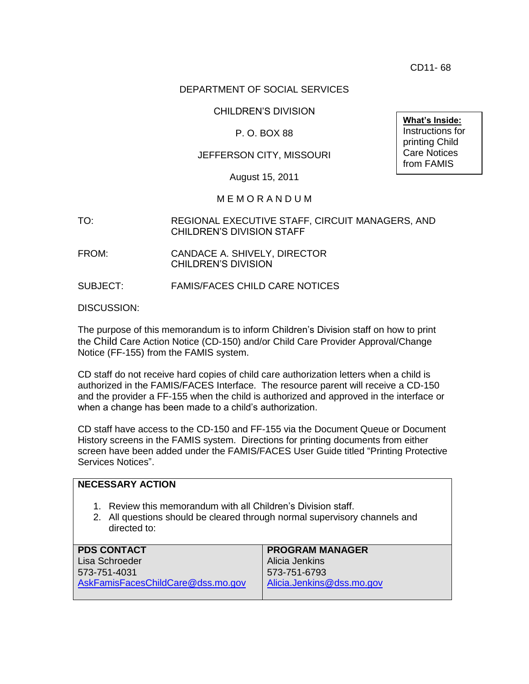CD11- 68

## DEPARTMENT OF SOCIAL SERVICES

CHILDREN'S DIVISION

### P. O. BOX 88

#### JEFFERSON CITY, MISSOURI

**What's Inside:** Instructions for printing Child Care Notices from FAMIS

August 15, 2011

#### M E M O R A N D U M

TO: REGIONAL EXECUTIVE STAFF, CIRCUIT MANAGERS, AND CHILDREN'S DIVISION STAFF

FROM: CANDACE A. SHIVELY, DIRECTOR CHILDREN'S DIVISION

SUBJECT: FAMIS/FACES CHILD CARE NOTICES

DISCUSSION:

The purpose of this memorandum is to inform Children's Division staff on how to print the Child Care Action Notice (CD-150) and/or Child Care Provider Approval/Change Notice (FF-155) from the FAMIS system.

CD staff do not receive hard copies of child care authorization letters when a child is authorized in the FAMIS/FACES Interface. The resource parent will receive a CD-150 and the provider a FF-155 when the child is authorized and approved in the interface or when a change has been made to a child's authorization.

CD staff have access to the CD-150 and FF-155 via the Document Queue or Document History screens in the FAMIS system. Directions for printing documents from either screen have been added under the FAMIS/FACES User Guide titled "Printing Protective Services Notices".

| <b>NECESSARY ACTION</b>                                                                                                                                     |                           |
|-------------------------------------------------------------------------------------------------------------------------------------------------------------|---------------------------|
| 1. Review this memorandum with all Children's Division staff.<br>2. All questions should be cleared through normal supervisory channels and<br>directed to: |                           |
| <b>PDS CONTACT</b>                                                                                                                                          | <b>PROGRAM MANAGER</b>    |
| Lisa Schroeder                                                                                                                                              | Alicia Jenkins            |
| 573-751-4031                                                                                                                                                | 573-751-6793              |
| AskFamisFacesChildCare@dss.mo.gov                                                                                                                           | Alicia.Jenkins@dss.mo.gov |